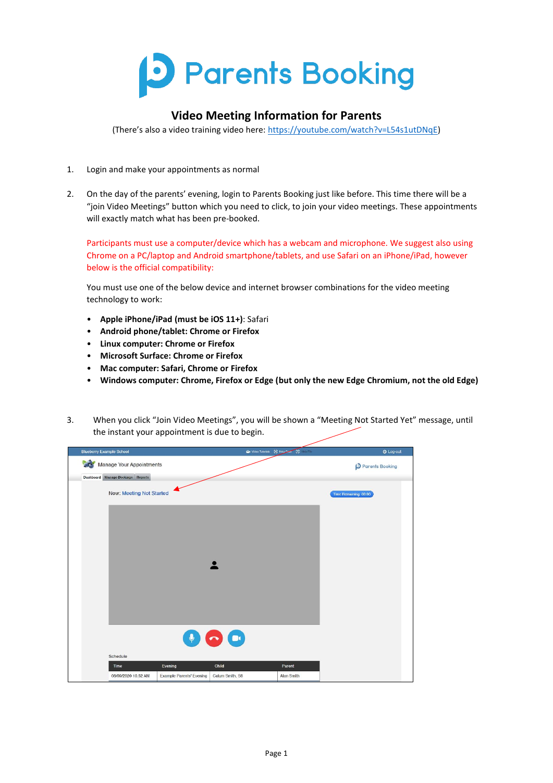

## **Video Meeting Information for Parents**

(There's also a video training video here: [https://youtube.com/watch?v=L54s1utDNqE\)](https://youtube.com/watch?v=L54s1utDNqE)

- 1. Login and make your appointments as normal
- 2. On the day of the parents' evening, login to Parents Booking just like before. This time there will be a "join Video Meetings" button which you need to click, to join your video meetings. These appointments will exactly match what has been pre-booked.

Participants must use a computer/device which has a webcam and microphone. We suggest also using Chrome on a PC/laptop and Android smartphone/tablets, and use Safari on an iPhone/iPad, however below is the official compatibility:

You must use one of the below device and internet browser combinations for the video meeting technology to work:

- **Apple iPhone/iPad (must be iOS 11+)**: Safari
- **Android phone/tablet: Chrome or Firefox**
- **Linux computer: Chrome or Firefox**
- **Microsoft Surface: Chrome or Firefox**
- **Mac computer: Safari, Chrome or Firefox**
- **Windows computer: Chrome, Firefox or Edge (but only the new Edge Chromium, not the old Edge)**
- 3. When you click "Join Video Meetings", you will be shown a "Meeting Not Started Yet" message, until the instant your appointment is due to begin.